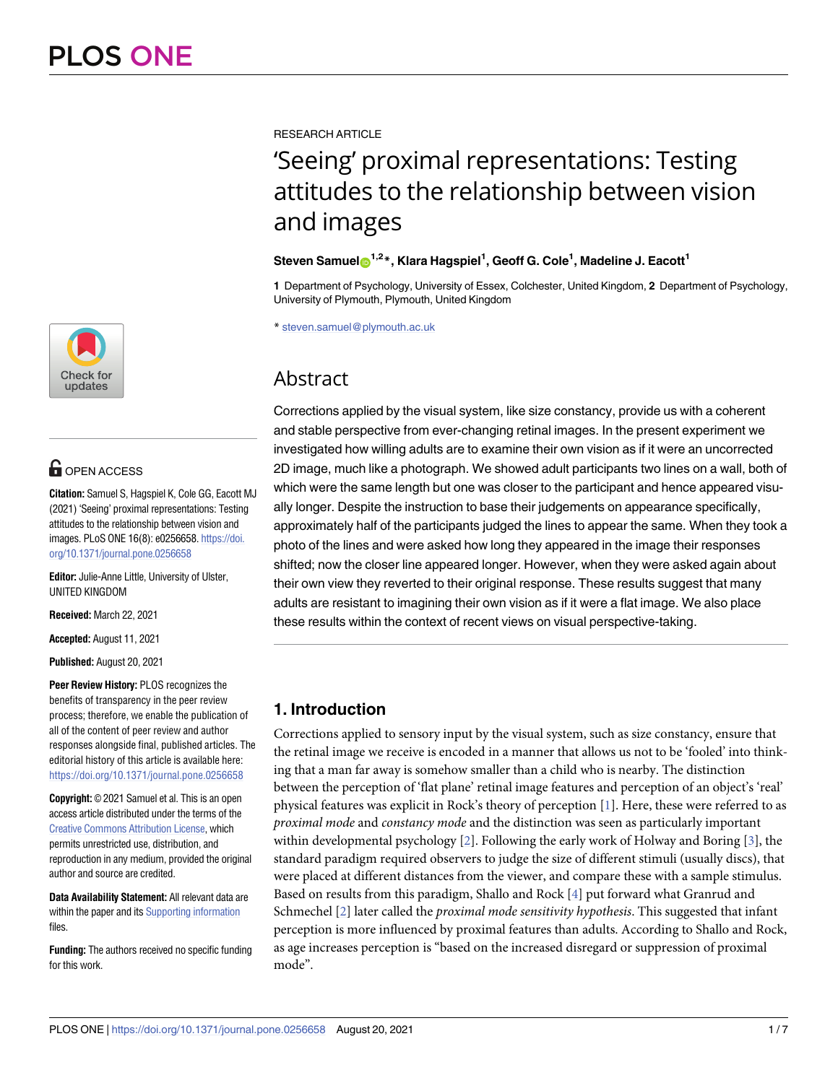

# **O** OPEN ACCESS

**Citation:** Samuel S, Hagspiel K, Cole GG, Eacott MJ (2021) 'Seeing' proximal representations: Testing attitudes to the relationship between vision and images. PLoS ONE 16(8): e0256658. [https://doi.](https://doi.org/10.1371/journal.pone.0256658) [org/10.1371/journal.pone.0256658](https://doi.org/10.1371/journal.pone.0256658)

**Editor:** Julie-Anne Little, University of Ulster, UNITED KINGDOM

**Received:** March 22, 2021

**Accepted:** August 11, 2021

**Published:** August 20, 2021

**Peer Review History:** PLOS recognizes the benefits of transparency in the peer review process; therefore, we enable the publication of all of the content of peer review and author responses alongside final, published articles. The editorial history of this article is available here: <https://doi.org/10.1371/journal.pone.0256658>

**Copyright:** © 2021 Samuel et al. This is an open access article distributed under the terms of the Creative Commons [Attribution](http://creativecommons.org/licenses/by/4.0/) License, which permits unrestricted use, distribution, and reproduction in any medium, provided the original author and source are credited.

**Data Availability Statement:** All relevant data are within the paper and its Supporting [information](#page-5-0) files.

**Funding:** The authors received no specific funding for this work.

<span id="page-0-0"></span>RESEARCH ARTICLE

# 'Seeing' proximal representations: Testing attitudes to the relationship between vision and images

### ${\bf S}$ teven Samuel ${\bf \odot}^{1,2}$ \*, Klara Hagspiel<sup>1</sup>, Geoff G. Cole<sup>1</sup>, Madeline J. Eacott<sup>1</sup>

**1** Department of Psychology, University of Essex, Colchester, United Kingdom, **2** Department of Psychology, University of Plymouth, Plymouth, United Kingdom

\* steven.samuel@plymouth.ac.uk

# **Abstract**

Corrections applied by the visual system, like size constancy, provide us with a coherent and stable perspective from ever-changing retinal images. In the present experiment we investigated how willing adults are to examine their own vision as if it were an uncorrected 2D image, much like a photograph. We showed adult participants two lines on a wall, both of which were the same length but one was closer to the participant and hence appeared visually longer. Despite the instruction to base their judgements on appearance specifically, approximately half of the participants judged the lines to appear the same. When they took a photo of the lines and were asked how long they appeared in the image their responses shifted; now the closer line appeared longer. However, when they were asked again about their own view they reverted to their original response. These results suggest that many adults are resistant to imagining their own vision as if it were a flat image. We also place these results within the context of recent views on visual perspective-taking.

## **1. Introduction**

Corrections applied to sensory input by the visual system, such as size constancy, ensure that the retinal image we receive is encoded in a manner that allows us not to be 'fooled' into thinking that a man far away is somehow smaller than a child who is nearby. The distinction between the perception of 'flat plane' retinal image features and perception of an object's 'real' physical features was explicit in Rock's theory of perception [[1\]](#page-6-0). Here, these were referred to as *proximal mode* and *constancy mode* and the distinction was seen as particularly important within developmental psychology [\[2\]](#page-6-0). Following the early work of Holway and Boring [[3](#page-6-0)], the standard paradigm required observers to judge the size of different stimuli (usually discs), that were placed at different distances from the viewer, and compare these with a sample stimulus. Based on results from this paradigm, Shallo and Rock [[4\]](#page-6-0) put forward what Granrud and Schmechel [\[2](#page-6-0)] later called the *proximal mode sensitivity hypothesis*. This suggested that infant perception is more influenced by proximal features than adults. According to Shallo and Rock, as age increases perception is "based on the increased disregard or suppression of proximal mode".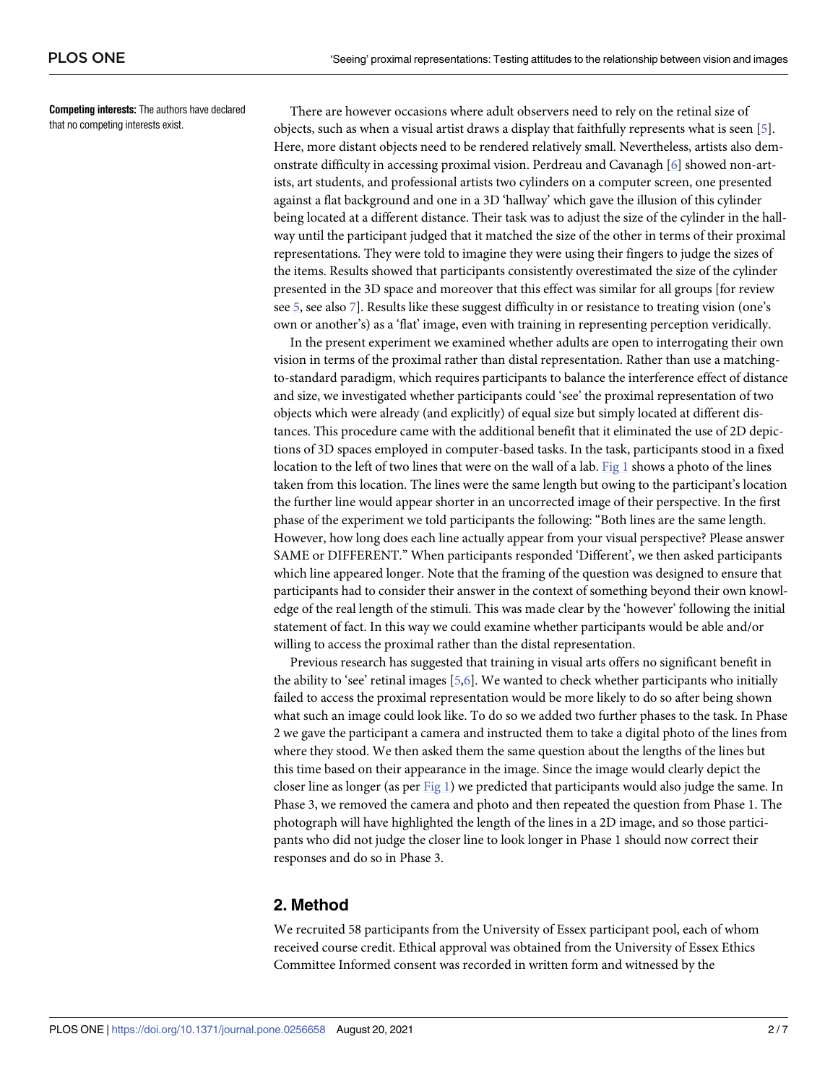<span id="page-1-0"></span>**Competing interests:** The authors have declared that no competing interests exist.

There are however occasions where adult observers need to rely on the retinal size of objects, such as when a visual artist draws a display that faithfully represents what is seen [\[5\]](#page-6-0). Here, more distant objects need to be rendered relatively small. Nevertheless, artists also demonstrate difficulty in accessing proximal vision. Perdreau and Cavanagh [\[6](#page-6-0)] showed non-artists, art students, and professional artists two cylinders on a computer screen, one presented against a flat background and one in a 3D 'hallway' which gave the illusion of this cylinder being located at a different distance. Their task was to adjust the size of the cylinder in the hallway until the participant judged that it matched the size of the other in terms of their proximal representations. They were told to imagine they were using their fingers to judge the sizes of the items. Results showed that participants consistently overestimated the size of the cylinder presented in the 3D space and moreover that this effect was similar for all groups [for review see [5](#page-6-0), see also [7](#page-6-0)]. Results like these suggest difficulty in or resistance to treating vision (one's own or another's) as a 'flat' image, even with training in representing perception veridically.

In the present experiment we examined whether adults are open to interrogating their own vision in terms of the proximal rather than distal representation. Rather than use a matchingto-standard paradigm, which requires participants to balance the interference effect of distance and size, we investigated whether participants could 'see' the proximal representation of two objects which were already (and explicitly) of equal size but simply located at different distances. This procedure came with the additional benefit that it eliminated the use of 2D depictions of 3D spaces employed in computer-based tasks. In the task, participants stood in a fixed location to the left of two lines that were on the wall of a lab. [Fig](#page-2-0) 1 shows a photo of the lines taken from this location. The lines were the same length but owing to the participant's location the further line would appear shorter in an uncorrected image of their perspective. In the first phase of the experiment we told participants the following: "Both lines are the same length. However, how long does each line actually appear from your visual perspective? Please answer SAME or DIFFERENT." When participants responded 'Different', we then asked participants which line appeared longer. Note that the framing of the question was designed to ensure that participants had to consider their answer in the context of something beyond their own knowledge of the real length of the stimuli. This was made clear by the 'however' following the initial statement of fact. In this way we could examine whether participants would be able and/or willing to access the proximal rather than the distal representation.

Previous research has suggested that training in visual arts offers no significant benefit in the ability to 'see' retinal images  $[5,6]$ . We wanted to check whether participants who initially failed to access the proximal representation would be more likely to do so after being shown what such an image could look like. To do so we added two further phases to the task. In Phase 2 we gave the participant a camera and instructed them to take a digital photo of the lines from where they stood. We then asked them the same question about the lengths of the lines but this time based on their appearance in the image. Since the image would clearly depict the closer line as longer (as per [Fig](#page-2-0) 1) we predicted that participants would also judge the same. In Phase 3, we removed the camera and photo and then repeated the question from Phase 1. The photograph will have highlighted the length of the lines in a 2D image, and so those participants who did not judge the closer line to look longer in Phase 1 should now correct their responses and do so in Phase 3.

### **2. Method**

We recruited 58 participants from the University of Essex participant pool, each of whom received course credit. Ethical approval was obtained from the University of Essex Ethics Committee Informed consent was recorded in written form and witnessed by the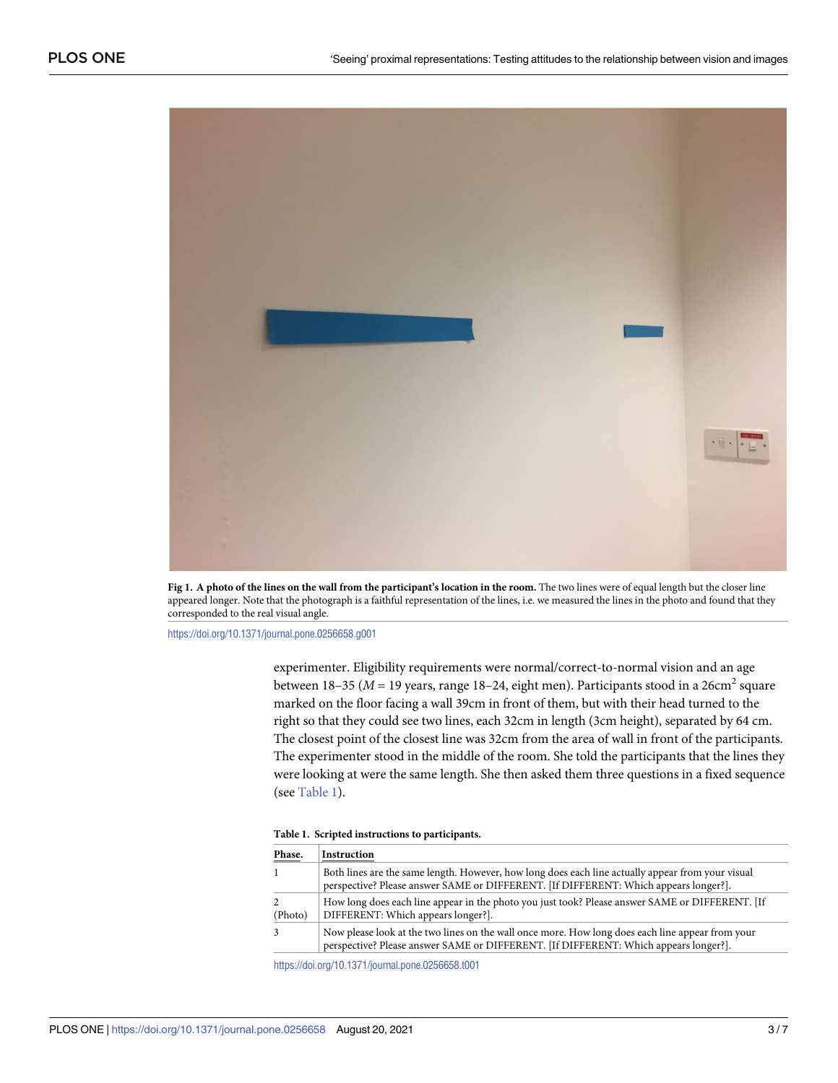<span id="page-2-0"></span>

[Fig](#page-1-0) 1. A photo of the lines on the wall from the participant's location in the room. The two lines were of equal length but the closer line appeared longer. Note that the photograph is a faithful representation of the lines, i.e. we measured the lines in the photo and found that they corresponded to the real visual angle.

<https://doi.org/10.1371/journal.pone.0256658.g001>

experimenter. Eligibility requirements were normal/correct-to-normal vision and an age between 18–35 ( $M = 19$  years, range 18–24, eight men). Participants stood in a 26cm<sup>2</sup> square marked on the floor facing a wall 39cm in front of them, but with their head turned to the right so that they could see two lines, each 32cm in length (3cm height), separated by 64 cm. The closest point of the closest line was 32cm from the area of wall in front of the participants. The experimenter stood in the middle of the room. She told the participants that the lines they were looking at were the same length. She then asked them three questions in a fixed sequence (see Table 1).

|  |  |  |  | Table 1. Scripted instructions to participants. |
|--|--|--|--|-------------------------------------------------|
|--|--|--|--|-------------------------------------------------|

| Phase.  | Instruction                                                                                                                                                                               |
|---------|-------------------------------------------------------------------------------------------------------------------------------------------------------------------------------------------|
|         | Both lines are the same length. However, how long does each line actually appear from your visual<br>perspective? Please answer SAME or DIFFERENT. [If DIFFERENT: Which appears longer?]. |
| (Photo) | How long does each line appear in the photo you just took? Please answer SAME or DIFFERENT. [If<br>DIFFERENT: Which appears longer?].                                                     |
|         | Now please look at the two lines on the wall once more. How long does each line appear from your<br>perspective? Please answer SAME or DIFFERENT. [If DIFFERENT: Which appears longer?].  |

<https://doi.org/10.1371/journal.pone.0256658.t001>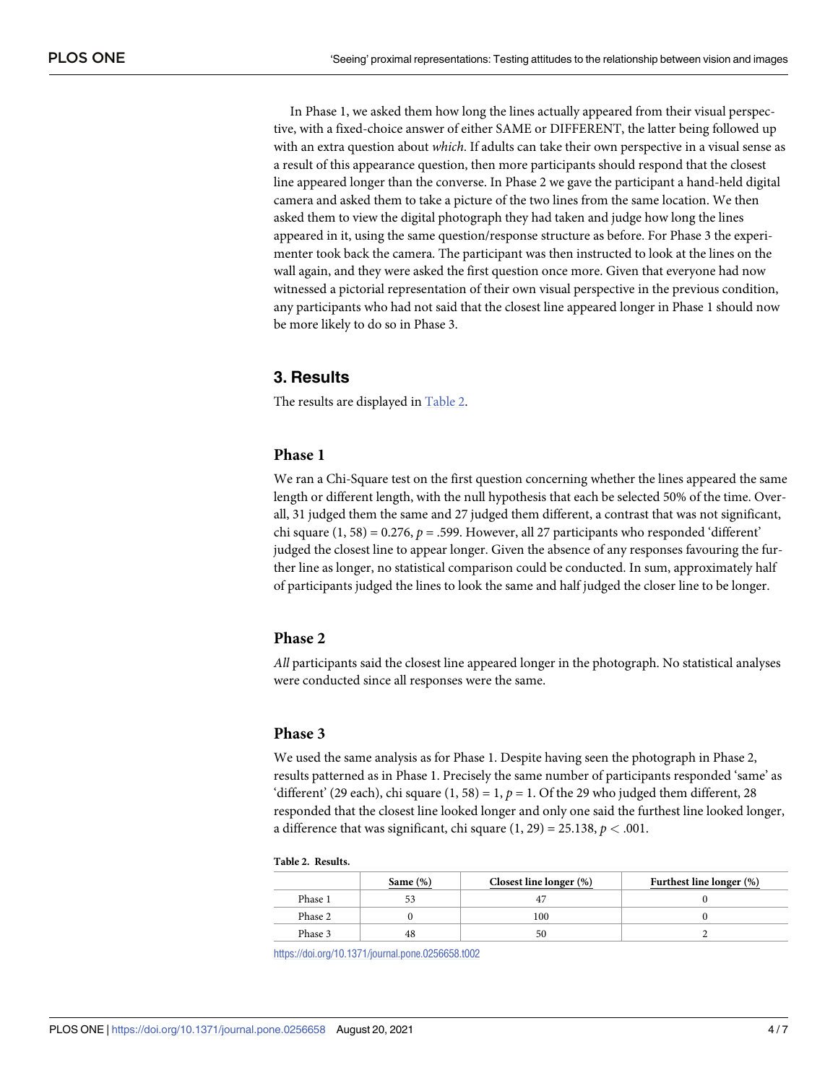In Phase 1, we asked them how long the lines actually appeared from their visual perspective, with a fixed-choice answer of either SAME or DIFFERENT, the latter being followed up with an extra question about *which*. If adults can take their own perspective in a visual sense as a result of this appearance question, then more participants should respond that the closest line appeared longer than the converse. In Phase 2 we gave the participant a hand-held digital camera and asked them to take a picture of the two lines from the same location. We then asked them to view the digital photograph they had taken and judge how long the lines appeared in it, using the same question/response structure as before. For Phase 3 the experimenter took back the camera. The participant was then instructed to look at the lines on the wall again, and they were asked the first question once more. Given that everyone had now witnessed a pictorial representation of their own visual perspective in the previous condition, any participants who had not said that the closest line appeared longer in Phase 1 should now be more likely to do so in Phase 3.

### **3. Results**

The results are displayed in Table 2.

#### **Phase 1**

We ran a Chi-Square test on the first question concerning whether the lines appeared the same length or different length, with the null hypothesis that each be selected 50% of the time. Overall, 31 judged them the same and 27 judged them different, a contrast that was not significant, chi square  $(1, 58) = 0.276$ ,  $p = .599$ . However, all 27 participants who responded 'different' judged the closest line to appear longer. Given the absence of any responses favouring the further line as longer, no statistical comparison could be conducted. In sum, approximately half of participants judged the lines to look the same and half judged the closer line to be longer.

#### **Phase 2**

*All* participants said the closest line appeared longer in the photograph. No statistical analyses were conducted since all responses were the same.

#### **Phase 3**

We used the same analysis as for Phase 1. Despite having seen the photograph in Phase 2, results patterned as in Phase 1. Precisely the same number of participants responded 'same' as 'different' (29 each), chi square  $(1, 58) = 1$ ,  $p = 1$ . Of the 29 who judged them different, 28 responded that the closest line looked longer and only one said the furthest line looked longer, a difference that was significant, chi square  $(1, 29) = 25.138$ ,  $p < .001$ .

#### **Table 2. Results.**

|         | Same $(\%)$ | Closest line longer $(\%)$ | Furthest line longer (%) |
|---------|-------------|----------------------------|--------------------------|
| Phase 1 |             |                            |                          |
| Phase 2 |             | 100                        |                          |
| Phase 3 |             |                            |                          |

<https://doi.org/10.1371/journal.pone.0256658.t002>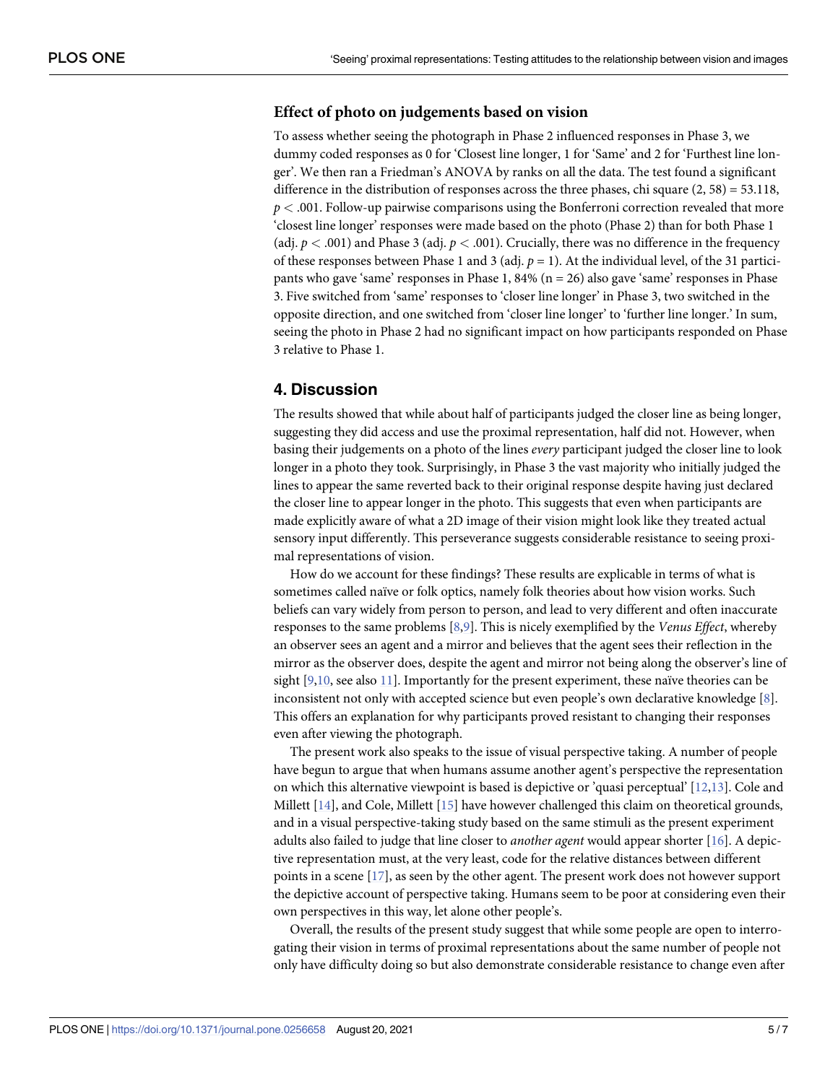## <span id="page-4-0"></span>**Effect of photo on judgements based on vision**

To assess whether seeing the photograph in Phase 2 influenced responses in Phase 3, we dummy coded responses as 0 for 'Closest line longer, 1 for 'Same' and 2 for 'Furthest line longer'. We then ran a Friedman's ANOVA by ranks on all the data. The test found a significant difference in the distribution of responses across the three phases, chi square  $(2, 58) = 53.118$ , *p <* .001. Follow-up pairwise comparisons using the Bonferroni correction revealed that more 'closest line longer' responses were made based on the photo (Phase 2) than for both Phase 1 (adj.  $p < .001$ ) and Phase 3 (adj.  $p < .001$ ). Crucially, there was no difference in the frequency of these responses between Phase 1 and 3 (adj. *p* = 1). At the individual level, of the 31 participants who gave 'same' responses in Phase 1, 84% ( $n = 26$ ) also gave 'same' responses in Phase 3. Five switched from 'same' responses to 'closer line longer' in Phase 3, two switched in the opposite direction, and one switched from 'closer line longer' to 'further line longer.' In sum, seeing the photo in Phase 2 had no significant impact on how participants responded on Phase 3 relative to Phase 1.

#### **4. Discussion**

The results showed that while about half of participants judged the closer line as being longer, suggesting they did access and use the proximal representation, half did not. However, when basing their judgements on a photo of the lines *every* participant judged the closer line to look longer in a photo they took. Surprisingly, in Phase 3 the vast majority who initially judged the lines to appear the same reverted back to their original response despite having just declared the closer line to appear longer in the photo. This suggests that even when participants are made explicitly aware of what a 2D image of their vision might look like they treated actual sensory input differently. This perseverance suggests considerable resistance to seeing proximal representations of vision.

How do we account for these findings? These results are explicable in terms of what is sometimes called naïve or folk optics, namely folk theories about how vision works. Such beliefs can vary widely from person to person, and lead to very different and often inaccurate responses to the same problems [[8](#page-6-0),[9](#page-6-0)]. This is nicely exemplified by the *Venus Effect*, whereby an observer sees an agent and a mirror and believes that the agent sees their reflection in the mirror as the observer does, despite the agent and mirror not being along the observer's line of sight  $[9,10,$  $[9,10,$  $[9,10,$  see also [11](#page-6-0)]. Importantly for the present experiment, these naïve theories can be inconsistent not only with accepted science but even people's own declarative knowledge [\[8\]](#page-6-0). This offers an explanation for why participants proved resistant to changing their responses even after viewing the photograph.

The present work also speaks to the issue of visual perspective taking. A number of people have begun to argue that when humans assume another agent's perspective the representation on which this alternative viewpoint is based is depictive or 'quasi perceptual' [[12](#page-6-0),[13](#page-6-0)]. Cole and Millett [\[14\]](#page-6-0), and Cole, Millett [\[15\]](#page-6-0) have however challenged this claim on theoretical grounds, and in a visual perspective-taking study based on the same stimuli as the present experiment adults also failed to judge that line closer to *another agent* would appear shorter [[16](#page-6-0)]. A depictive representation must, at the very least, code for the relative distances between different points in a scene [[17\]](#page-6-0), as seen by the other agent. The present work does not however support the depictive account of perspective taking. Humans seem to be poor at considering even their own perspectives in this way, let alone other people's.

Overall, the results of the present study suggest that while some people are open to interrogating their vision in terms of proximal representations about the same number of people not only have difficulty doing so but also demonstrate considerable resistance to change even after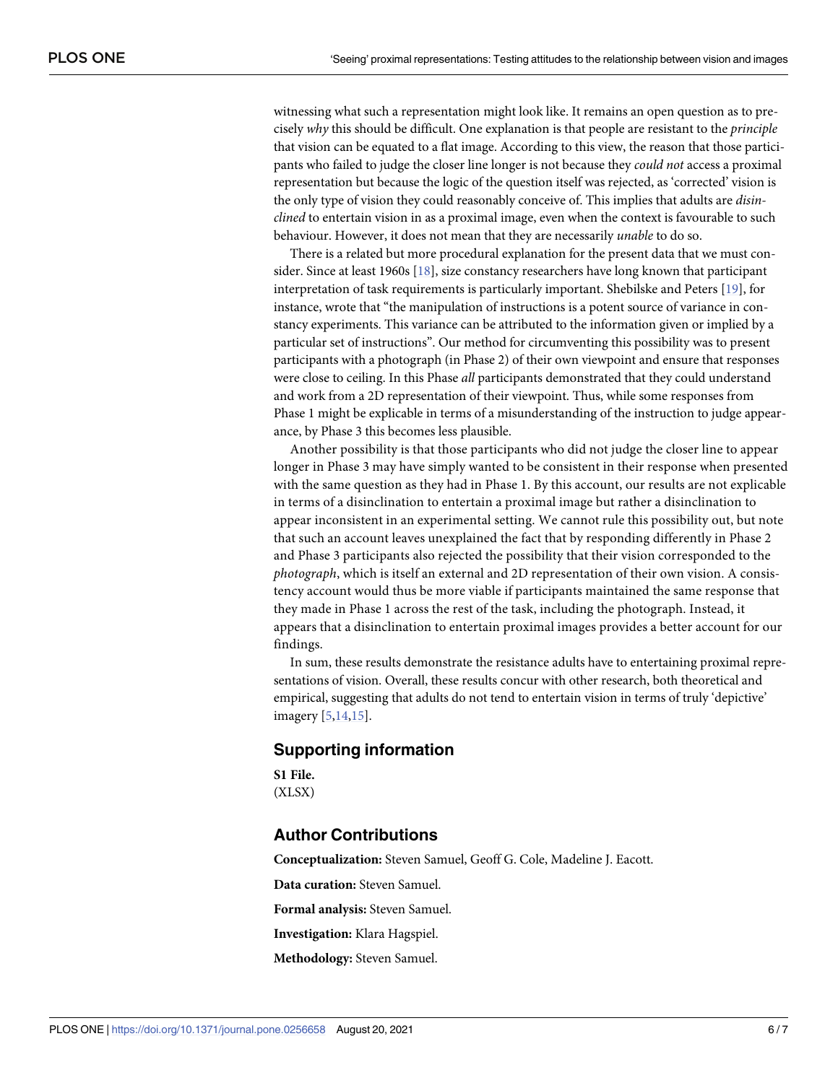<span id="page-5-0"></span>witnessing what such a representation might look like. It remains an open question as to precisely *why* this should be difficult. One explanation is that people are resistant to the *principle* that vision can be equated to a flat image. According to this view, the reason that those participants who failed to judge the closer line longer is not because they *could not* access a proximal representation but because the logic of the question itself was rejected, as 'corrected' vision is the only type of vision they could reasonably conceive of. This implies that adults are *disinclined* to entertain vision in as a proximal image, even when the context is favourable to such behaviour. However, it does not mean that they are necessarily *unable* to do so.

There is a related but more procedural explanation for the present data that we must consider. Since at least 1960s [\[18\]](#page-6-0), size constancy researchers have long known that participant interpretation of task requirements is particularly important. Shebilske and Peters [\[19\]](#page-6-0), for instance, wrote that "the manipulation of instructions is a potent source of variance in constancy experiments. This variance can be attributed to the information given or implied by a particular set of instructions". Our method for circumventing this possibility was to present participants with a photograph (in Phase 2) of their own viewpoint and ensure that responses were close to ceiling. In this Phase *all* participants demonstrated that they could understand and work from a 2D representation of their viewpoint. Thus, while some responses from Phase 1 might be explicable in terms of a misunderstanding of the instruction to judge appearance, by Phase 3 this becomes less plausible.

Another possibility is that those participants who did not judge the closer line to appear longer in Phase 3 may have simply wanted to be consistent in their response when presented with the same question as they had in Phase 1. By this account, our results are not explicable in terms of a disinclination to entertain a proximal image but rather a disinclination to appear inconsistent in an experimental setting. We cannot rule this possibility out, but note that such an account leaves unexplained the fact that by responding differently in Phase 2 and Phase 3 participants also rejected the possibility that their vision corresponded to the *photograph*, which is itself an external and 2D representation of their own vision. A consistency account would thus be more viable if participants maintained the same response that they made in Phase 1 across the rest of the task, including the photograph. Instead, it appears that a disinclination to entertain proximal images provides a better account for our findings.

In sum, these results demonstrate the resistance adults have to entertaining proximal representations of vision. Overall, these results concur with other research, both theoretical and empirical, suggesting that adults do not tend to entertain vision in terms of truly 'depictive' imagery [[5,14](#page-6-0),[15](#page-6-0)].

#### **Supporting information**

**S1 [File.](http://www.plosone.org/article/fetchSingleRepresentation.action?uri=info:doi/10.1371/journal.pone.0256658.s001)** (XLSX)

#### **Author Contributions**

**Conceptualization:** Steven Samuel, Geoff G. Cole, Madeline J. Eacott.

**Data curation:** Steven Samuel.

**Formal analysis:** Steven Samuel.

**Investigation:** Klara Hagspiel.

**Methodology:** Steven Samuel.